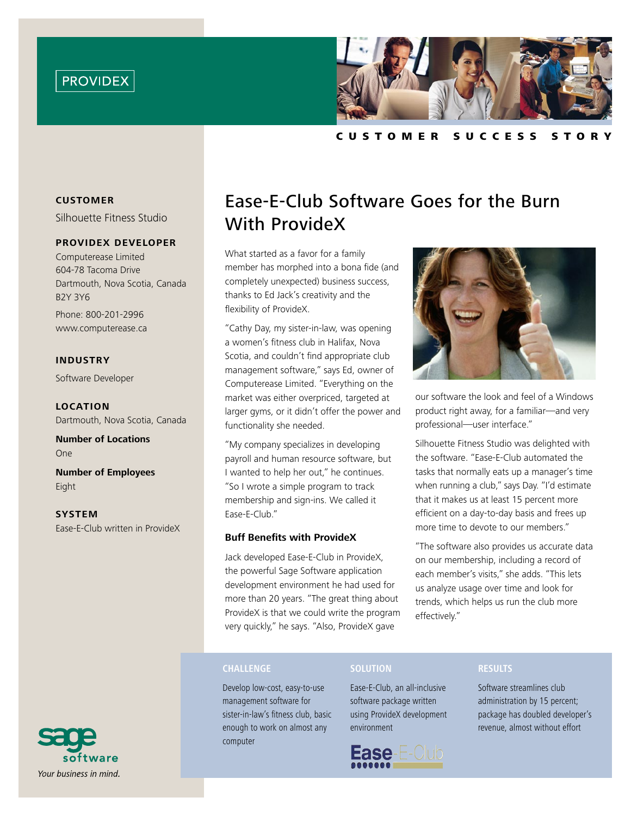



C u s t o m e r S u cc e s s S t o r y

### **CUSTOMER**

Silhouette Fitness Studio

# **providex developer**

Computerease Limited 604-78 Tacoma Drive Dartmouth, Nova Scotia, Canada B2Y 3Y6

Phone: 800-201-2996 www.computerease.ca

# **Industry**

Software Developer

**Location** Dartmouth, Nova Scotia, Canada

**Number of Locations** One

**Number of Employees** Eight

**System** Ease-E-Club written in ProvideX



What started as a favor for a family member has morphed into a bona fide (and completely unexpected) business success, thanks to Ed Jack's creativity and the flexibility of ProvideX.

"Cathy Day, my sister-in-law, was opening a women's fitness club in Halifax, Nova Scotia, and couldn't find appropriate club management software," says Ed, owner of Computerease Limited. "Everything on the market was either overpriced, targeted at larger gyms, or it didn't offer the power and functionality she needed.

"My company specializes in developing payroll and human resource software, but I wanted to help her out," he continues. "So I wrote a simple program to track membership and sign-ins. We called it Ease-E-Club."

#### **Buff Benefits with ProvideX**

Jack developed Ease-E-Club in ProvideX, the powerful Sage Software application development environment he had used for more than 20 years. "The great thing about ProvideX is that we could write the program very quickly," he says. "Also, ProvideX gave



our software the look and feel of a Windows product right away, for a familiar—and very professional—user interface."

Silhouette Fitness Studio was delighted with the software. "Ease-E-Club automated the tasks that normally eats up a manager's time when running a club," says Day. "I'd estimate that it makes us at least 15 percent more efficient on a day-to-day basis and frees up more time to devote to our members."

"The software also provides us accurate data on our membership, including a record of each member's visits," she adds. "This lets us analyze usage over time and look for trends, which helps us run the club more effectively."

#### **Challenge**

Develop low-cost, easy-to-use management software for sister-in-law's fitness club, basic enough to work on almost any computer

# **Solution**

Ease-E-Club, an all-inclusive software package written using ProvideX development environment



#### **Results**

Software streamlines club administration by 15 percent; package has doubled developer's revenue, almost without effort